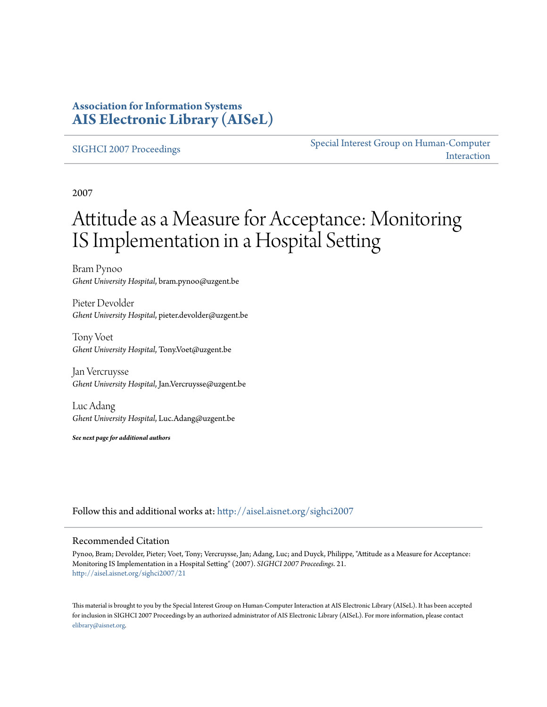## **Association for Information Systems [AIS Electronic Library \(AISeL\)](http://aisel.aisnet.org?utm_source=aisel.aisnet.org%2Fsighci2007%2F21&utm_medium=PDF&utm_campaign=PDFCoverPages)**

## [SIGHCI 2007 Proceedings](http://aisel.aisnet.org/sighci2007?utm_source=aisel.aisnet.org%2Fsighci2007%2F21&utm_medium=PDF&utm_campaign=PDFCoverPages)

[Special Interest Group on Human-Computer](http://aisel.aisnet.org/sighci?utm_source=aisel.aisnet.org%2Fsighci2007%2F21&utm_medium=PDF&utm_campaign=PDFCoverPages) [Interaction](http://aisel.aisnet.org/sighci?utm_source=aisel.aisnet.org%2Fsighci2007%2F21&utm_medium=PDF&utm_campaign=PDFCoverPages)

2007

# Attitude as a Measure for Acceptance: Monitoring IS Implementation in a Hospital Setting

Bram Pynoo *Ghent University Hospital*, bram.pynoo@uzgent.be

Pieter Devolder *Ghent University Hospital*, pieter.devolder@uzgent.be

Tony Voet *Ghent University Hospital*, Tony.Voet@uzgent.be

Jan Vercruysse *Ghent University Hospital*, Jan.Vercruysse@uzgent.be

Luc Adang *Ghent University Hospital*, Luc.Adang@uzgent.be

*See next page for additional authors*

Follow this and additional works at: [http://aisel.aisnet.org/sighci2007](http://aisel.aisnet.org/sighci2007?utm_source=aisel.aisnet.org%2Fsighci2007%2F21&utm_medium=PDF&utm_campaign=PDFCoverPages)

## Recommended Citation

Pynoo, Bram; Devolder, Pieter; Voet, Tony; Vercruysse, Jan; Adang, Luc; and Duyck, Philippe, "Attitude as a Measure for Acceptance: Monitoring IS Implementation in a Hospital Setting" (2007). *SIGHCI 2007 Proceedings*. 21. [http://aisel.aisnet.org/sighci2007/21](http://aisel.aisnet.org/sighci2007/21?utm_source=aisel.aisnet.org%2Fsighci2007%2F21&utm_medium=PDF&utm_campaign=PDFCoverPages)

This material is brought to you by the Special Interest Group on Human-Computer Interaction at AIS Electronic Library (AISeL). It has been accepted for inclusion in SIGHCI 2007 Proceedings by an authorized administrator of AIS Electronic Library (AISeL). For more information, please contact [elibrary@aisnet.org.](mailto:elibrary@aisnet.org%3E)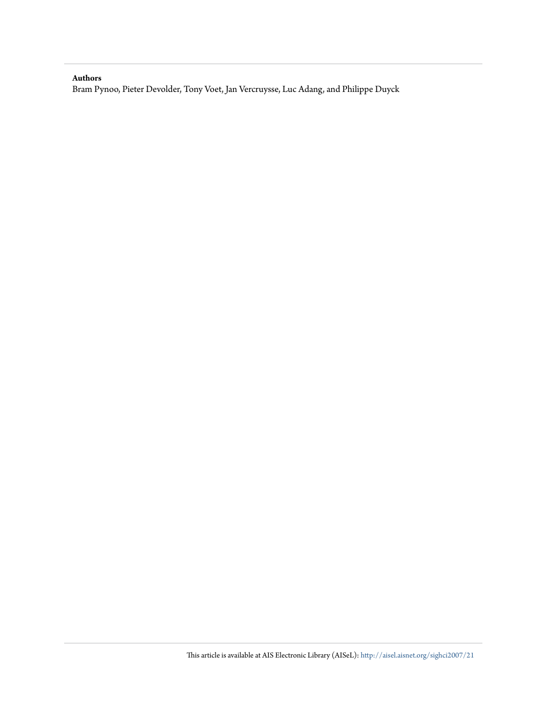## **Authors**

Bram Pynoo, Pieter Devolder, Tony Voet, Jan Vercruysse, Luc Adang, and Philippe Duyck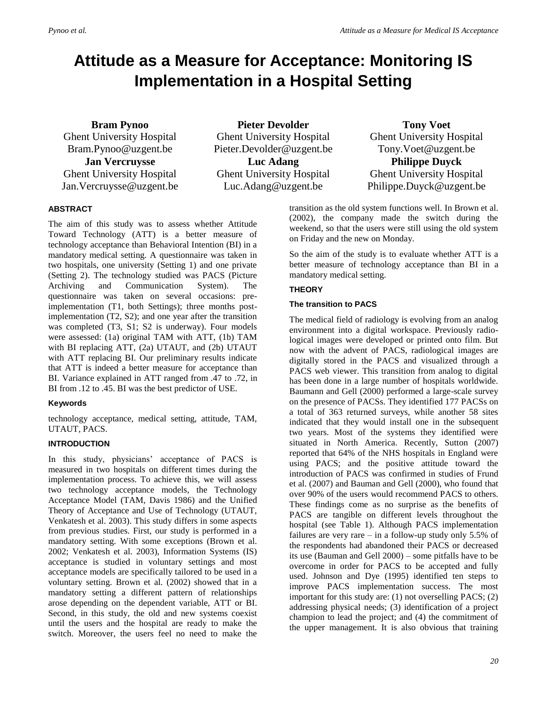# **Attitude as a Measure for Acceptance: Monitoring IS Implementation in a Hospital Setting**

**Bram Pynoo** Ghent University Hospital Bram.Pynoo@uzgent.be **Jan Vercruysse** Ghent University Hospital Jan.Vercruysse@uzgent.be

**Pieter Devolder** Ghent University Hospital Pieter.Devolder@uzgent.be **Luc Adang**

Ghent University Hospital Luc.Adang@uzgent.be

## **Tony Voet** Ghent University Hospital Tony.Voet@uzgent.be **Philippe Duyck** Ghent University Hospital Philippe.Duyck@uzgent.be

## **ABSTRACT**

The aim of this study was to assess whether Attitude Toward Technology (ATT) is a better measure of technology acceptance than Behavioral Intention (BI) in a mandatory medical setting. A questionnaire was taken in two hospitals, one university (Setting 1) and one private (Setting 2). The technology studied was PACS (Picture Archiving and Communication System). The questionnaire was taken on several occasions: preimplementation (T1, both Settings); three months postimplementation (T2, S2); and one year after the transition was completed (T3, S1; S2 is underway). Four models were assessed: (1a) original TAM with ATT, (1b) TAM with BI replacing ATT, (2a) UTAUT, and (2b) UTAUT with ATT replacing BI. Our preliminary results indicate that ATT is indeed a better measure for acceptance than BI. Variance explained in ATT ranged from .47 to .72, in BI from .12 to .45. BI was the best predictor of USE.

## **Keywords**

technology acceptance, medical setting, attitude, TAM, UTAUT, PACS.

## **INTRODUCTION**

In this study, physicians' acceptance of PACS is measured in two hospitals on different times during the implementation process. To achieve this, we will assess two technology acceptance models, the Technology Acceptance Model (TAM, Davis 1986) and the Unified Theory of Acceptance and Use of Technology (UTAUT, Venkatesh et al. 2003). This study differs in some aspects from previous studies. First, our study is performed in a mandatory setting. With some exceptions (Brown et al. 2002; Venkatesh et al. 2003), Information Systems (IS) acceptance is studied in voluntary settings and most acceptance models are specifically tailored to be used in a voluntary setting. Brown et al. (2002) showed that in a mandatory setting a different pattern of relationships arose depending on the dependent variable, ATT or BI. Second, in this study, the old and new systems coexist until the users and the hospital are ready to make the switch. Moreover, the users feel no need to make the

transition as the old system functions well. In Brown et al. (2002), the company made the switch during the weekend, so that the users were still using the old system on Friday and the new on Monday.

So the aim of the study is to evaluate whether ATT is a better measure of technology acceptance than BI in a mandatory medical setting.

## **THEORY**

## **The transition to PACS**

The medical field of radiology is evolving from an analog environment into a digital workspace. Previously radiological images were developed or printed onto film. But now with the advent of PACS, radiological images are digitally stored in the PACS and visualized through a PACS web viewer. This transition from analog to digital has been done in a large number of hospitals worldwide. Baumann and Gell (2000) performed a large-scale survey on the presence of PACSs. They identified 177 PACSs on a total of 363 returned surveys, while another 58 sites indicated that they would install one in the subsequent two years. Most of the systems they identified were situated in North America. Recently, Sutton (2007) reported that 64% of the NHS hospitals in England were using PACS; and the positive attitude toward the introduction of PACS was confirmed in studies of Frund et al. (2007) and Bauman and Gell (2000), who found that over 90% of the users would recommend PACS to others. These findings come as no surprise as the benefits of PACS are tangible on different levels throughout the hospital (see Table 1). Although PACS implementation failures are very rare – in a follow-up study only 5.5% of the respondents had abandoned their PACS or decreased its use (Bauman and Gell 2000) – some pitfalls have to be overcome in order for PACS to be accepted and fully used. Johnson and Dye (1995) identified ten steps to improve PACS implementation success. The most important for this study are: (1) not overselling PACS; (2) addressing physical needs; (3) identification of a project champion to lead the project; and (4) the commitment of the upper management. It is also obvious that training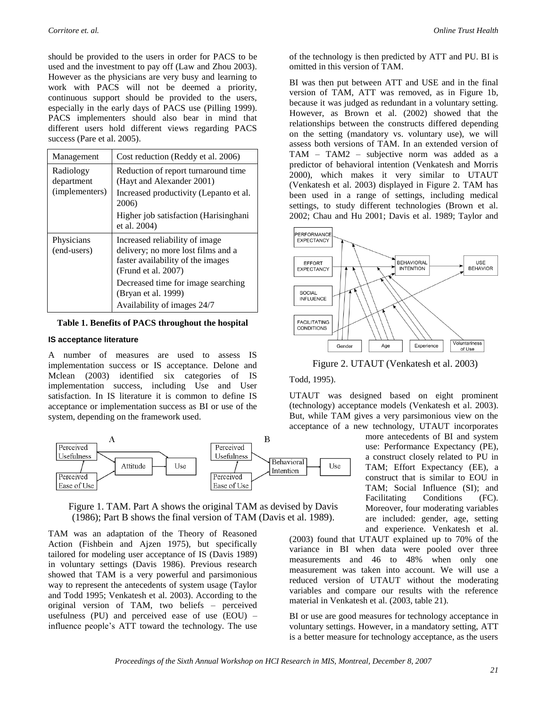should be provided to the users in order for PACS to be used and the investment to pay off (Law and Zhou 2003). However as the physicians are very busy and learning to work with PACS will not be deemed a priority, continuous support should be provided to the users, especially in the early days of PACS use (Pilling 1999). PACS implementers should also bear in mind that different users hold different views regarding PACS success (Pare et al. 2005).

| Management                                | Cost reduction (Reddy et al. 2006)                                                                                               |  |  |  |
|-------------------------------------------|----------------------------------------------------------------------------------------------------------------------------------|--|--|--|
| Radiology<br>department<br>(implementers) | Reduction of report turnaround time<br>(Hayt and Alexander 2001)                                                                 |  |  |  |
|                                           | Increased productivity (Lepanto et al.<br>2006)                                                                                  |  |  |  |
|                                           | Higher job satisfaction (Harisinghani)<br>et al. 2004)                                                                           |  |  |  |
| Physicians<br>(end-users)                 | Increased reliability of image<br>delivery; no more lost films and a<br>faster availability of the images<br>(Frund et al. 2007) |  |  |  |
|                                           | Decreased time for image searching<br>(Bryan et al. 1999)                                                                        |  |  |  |
|                                           | Availability of images 24/7                                                                                                      |  |  |  |

**Table 1. Benefits of PACS throughout the hospital**

#### **IS acceptance literature**

A number of measures are used to assess IS implementation success or IS acceptance. Delone and Mclean (2003) identified six categories of IS implementation success, including Use and User satisfaction. In IS literature it is common to define IS acceptance or implementation success as BI or use of the system, depending on the framework used.





TAM was an adaptation of the Theory of Reasoned Action (Fishbein and Ajzen 1975), but specifically tailored for modeling user acceptance of IS (Davis 1989) in voluntary settings (Davis 1986). Previous research showed that TAM is a very powerful and parsimonious way to represent the antecedents of system usage (Taylor and Todd 1995; Venkatesh et al. 2003). According to the original version of TAM, two beliefs – perceived usefulness (PU) and perceived ease of use  $(EOU)$  – influence people's ATT toward the technology. The use

of the technology is then predicted by ATT and PU. BI is omitted in this version of TAM.

BI was then put between ATT and USE and in the final version of TAM, ATT was removed, as in Figure 1b, because it was judged as redundant in a voluntary setting. However, as Brown et al. (2002) showed that the relationships between the constructs differed depending on the setting (mandatory vs. voluntary use), we will assess both versions of TAM. In an extended version of TAM – TAM2 – subjective norm was added as a predictor of behavioral intention (Venkatesh and Morris 2000), which makes it very similar to UTAUT (Venkatesh et al. 2003) displayed in Figure 2. TAM has been used in a range of settings, including medical settings, to study different technologies (Brown et al. 2002; Chau and Hu 2001; Davis et al. 1989; Taylor and



Figure 2. UTAUT (Venkatesh et al. 2003)

#### Todd, 1995).

UTAUT was designed based on eight prominent (technology) acceptance models (Venkatesh et al. 2003). But, while TAM gives a very parsimonious view on the acceptance of a new technology, UTAUT incorporates

> more antecedents of BI and system use: Performance Expectancy (PE), a construct closely related to PU in TAM; Effort Expectancy (EE), a construct that is similar to EOU in TAM; Social Influence (SI); and Facilitating Conditions (FC). Moreover, four moderating variables are included: gender, age, setting and experience. Venkatesh et al.

(2003) found that UTAUT explained up to 70% of the variance in BI when data were pooled over three measurements and 46 to 48% when only one measurement was taken into account. We will use a reduced version of UTAUT without the moderating variables and compare our results with the reference material in Venkatesh et al. (2003, table 21).

BI or use are good measures for technology acceptance in voluntary settings. However, in a mandatory setting, ATT is a better measure for technology acceptance, as the users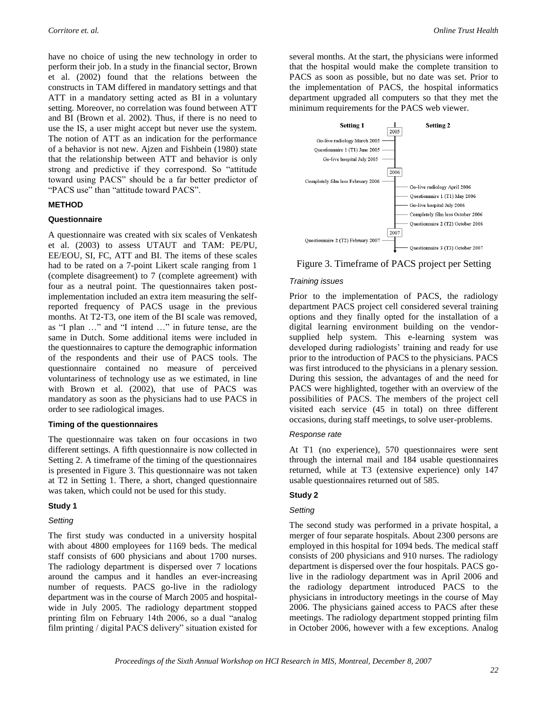have no choice of using the new technology in order to perform their job. In a study in the financial sector, Brown et al. (2002) found that the relations between the constructs in TAM differed in mandatory settings and that ATT in a mandatory setting acted as BI in a voluntary setting. Moreover, no correlation was found between ATT and BI (Brown et al. 2002). Thus, if there is no need to use the IS, a user might accept but never use the system. The notion of ATT as an indication for the performance of a behavior is not new. Ajzen and Fishbein (1980) state that the relationship between ATT and behavior is only strong and predictive if they correspond. So "attitude toward using PACS" should be a far better predictor of "PACS use" than "attitude toward PACS".

#### **METHOD**

#### **Questionnaire**

A questionnaire was created with six scales of Venkatesh et al. (2003) to assess UTAUT and TAM: PE/PU, EE/EOU, SI, FC, ATT and BI. The items of these scales had to be rated on a 7-point Likert scale ranging from 1 (complete disagreement) to 7 (complete agreement) with four as a neutral point. The questionnaires taken postimplementation included an extra item measuring the selfreported frequency of PACS usage in the previous months. At T2-T3, one item of the BI scale was removed, as "I plan …" and "I intend …" in future tense, are the same in Dutch. Some additional items were included in the questionnaires to capture the demographic information of the respondents and their use of PACS tools. The questionnaire contained no measure of perceived voluntariness of technology use as we estimated, in line with Brown et al. (2002), that use of PACS was mandatory as soon as the physicians had to use PACS in order to see radiological images.

#### **Timing of the questionnaires**

The questionnaire was taken on four occasions in two different settings. A fifth questionnaire is now collected in Setting 2. A timeframe of the timing of the questionnaires is presented in Figure 3. This questionnaire was not taken at T2 in Setting 1. There, a short, changed questionnaire was taken, which could not be used for this study.

#### **Study 1**

## *Setting*

The first study was conducted in a university hospital with about 4800 employees for 1169 beds. The medical staff consists of 600 physicians and about 1700 nurses. The radiology department is dispersed over 7 locations around the campus and it handles an ever-increasing number of requests. PACS go-live in the radiology department was in the course of March 2005 and hospitalwide in July 2005. The radiology department stopped printing film on February 14th 2006, so a dual "analog film printing / digital PACS delivery" situation existed for several months. At the start, the physicians were informed that the hospital would make the complete transition to PACS as soon as possible, but no date was set. Prior to the implementation of PACS, the hospital informatics department upgraded all computers so that they met the minimum requirements for the PACS web viewer.



Figure 3. Timeframe of PACS project per Setting

#### *Training issues*

Prior to the implementation of PACS, the radiology department PACS project cell considered several training options and they finally opted for the installation of a digital learning environment building on the vendorsupplied help system. This e-learning system was developed during radiologists' training and ready for use prior to the introduction of PACS to the physicians. PACS was first introduced to the physicians in a plenary session. During this session, the advantages of and the need for PACS were highlighted, together with an overview of the possibilities of PACS. The members of the project cell visited each service (45 in total) on three different occasions, during staff meetings, to solve user-problems.

## *Response rate*

At T1 (no experience), 570 questionnaires were sent through the internal mail and 184 usable questionnaires returned, while at T3 (extensive experience) only 147 usable questionnaires returned out of 585.

## **Study 2**

#### *Setting*

The second study was performed in a private hospital, a merger of four separate hospitals. About 2300 persons are employed in this hospital for 1094 beds. The medical staff consists of 200 physicians and 910 nurses. The radiology department is dispersed over the four hospitals. PACS golive in the radiology department was in April 2006 and the radiology department introduced PACS to the physicians in introductory meetings in the course of May 2006. The physicians gained access to PACS after these meetings. The radiology department stopped printing film in October 2006, however with a few exceptions. Analog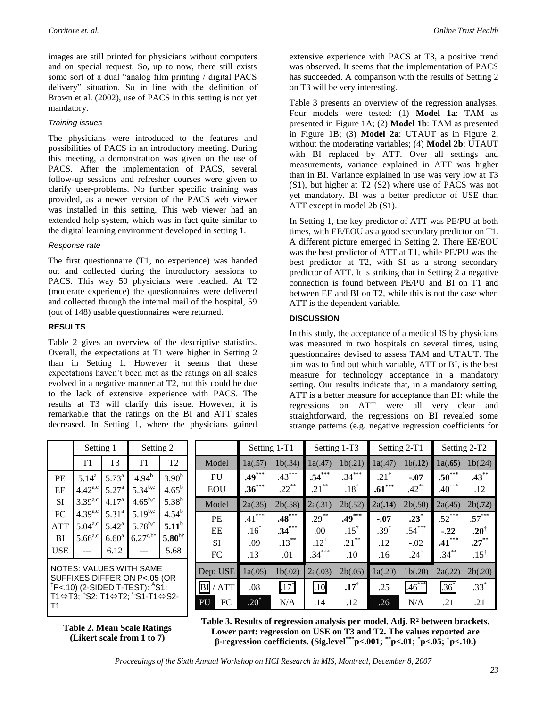images are still printed for physicians without computers and on special request. So, up to now, there still exists some sort of a dual "analog film printing / digital PACS delivery" situation. So in line with the definition of Brown et al. (2002), use of PACS in this setting is not yet mandatory.

### *Training issues*

The physicians were introduced to the features and possibilities of PACS in an introductory meeting. During this meeting, a demonstration was given on the use of PACS. After the implementation of PACS, several follow-up sessions and refresher courses were given to clarify user-problems. No further specific training was provided, as a newer version of the PACS web viewer was installed in this setting. This web viewer had an extended help system, which was in fact quite similar to the digital learning environment developed in setting 1.

#### *Response rate*

The first questionnaire (T1, no experience) was handed out and collected during the introductory sessions to PACS. This way 50 physicians were reached. At T2 (moderate experience) the questionnaires were delivered and collected through the internal mail of the hospital, 59 (out of 148) usable questionnaires were returned.

## **RESULTS**

Table 2 gives an overview of the descriptive statistics. Overall, the expectations at T1 were higher in Setting 2 than in Setting 1. However it seems that these expectations haven't been met as the ratings on all scales evolved in a negative manner at T2, but this could be due to the lack of extensive experience with PACS. The results at T3 will clarify this issue. However, it is remarkable that the ratings on the BI and ATT scales decreased. In Setting 1, where the physicians gained extensive experience with PACS at T3, a positive trend was observed. It seems that the implementation of PACS has succeeded. A comparison with the results of Setting 2 on T3 will be very interesting.

Table 3 presents an overview of the regression analyses. Four models were tested: (1) **Model 1a**: TAM as presented in Figure 1A; (2) **Model 1b**: TAM as presented in Figure 1B; (3) **Model 2a**: UTAUT as in Figure 2, without the moderating variables; (4) **Model 2b**: UTAUT with BI replaced by ATT. Over all settings and measurements, variance explained in ATT was higher than in BI. Variance explained in use was very low at T3 (S1), but higher at T2 (S2) where use of PACS was not yet mandatory. BI was a better predictor of USE than ATT except in model 2b (S1).

In Setting 1, the key predictor of ATT was PE/PU at both times, with EE/EOU as a good secondary predictor on T1. A different picture emerged in Setting 2. There EE/EOU was the best predictor of ATT at T1, while PE/PU was the best predictor at T2, with SI as a strong secondary predictor of ATT. It is striking that in Setting 2 a negative connection is found between PE/PU and BI on T1 and between EE and BI on T2, while this is not the case when ATT is the dependent variable.

## **DISCUSSION**

In this study, the acceptance of a medical IS by physicians was measured in two hospitals on several times, using questionnaires devised to assess TAM and UTAUT. The aim was to find out which variable, ATT or BI, is the best measure for technology acceptance in a mandatory setting. Our results indicate that, in a mandatory setting, ATT is a better measure for acceptance than BI: while the regressions on ATT were all very clear and straightforward, the regressions on BI revealed some strange patterns (e.g. negative regression coefficients for

|                                                                | Setting 1    |                   | Setting 2                          |                   |  |  |  |
|----------------------------------------------------------------|--------------|-------------------|------------------------------------|-------------------|--|--|--|
|                                                                | T1           | T <sub>3</sub>    | T1                                 | T <sub>2</sub>    |  |  |  |
| PE                                                             | $5.14^{a}$   | $5.73^{a}$        | $4.94^{b}$                         | 3.90 <sup>b</sup> |  |  |  |
| EE                                                             | $4.42^{a,c}$ | $5.27^{\rm a}$    | $5.34^{b,c}$                       | $4.65^{\rm b}$    |  |  |  |
| SI                                                             | $3.39^{a,c}$ | 4.17 <sup>a</sup> | $4.65^{b,c}$                       | $5.38^{b}$        |  |  |  |
| FC                                                             | $4.39^{a,c}$ | 5.31 <sup>a</sup> | $5.19^{b,c}$                       | $4.54^{b}$        |  |  |  |
| <b>ATT</b>                                                     | $5.04^{a,c}$ | $5.42^{\rm a}$    | $5.78^{b,c}$                       | 5.11 <sup>b</sup> |  |  |  |
| BI                                                             | $5.66^{a,c}$ | 6.60 <sup>a</sup> | $6.27^{\text{c}, \text{b}\dagger}$ | $5.80^{b\dagger}$ |  |  |  |
| <b>USE</b>                                                     |              | 6.12              |                                    | 5.68              |  |  |  |
| <b>NOTES: VALUES WITH SAME</b><br>SUFFIXES DIFFER ON P<.05 (OR |              |                   |                                    |                   |  |  |  |

P<.10) (2-SIDED T-TEST): <sup>A</sup> S1: T1⇔T3;<sup>`B</sup>S2: T1⇔T2; <sup>C</sup>S1-T1⇔S2-T1

**Table 2. Mean Scale Ratings (Likert scale from 1 to 7)**

|                  | Setting 1-T1    |          | Setting 1-T3    |                 | Setting 2-T1    |          | Setting 2-T <sub>2</sub> |                 |
|------------------|-----------------|----------|-----------------|-----------------|-----------------|----------|--------------------------|-----------------|
| Model            | 1a(.57)         | 1b(.34)  | 1a(.47)         | 1b(.21)         | 1a(.47)         | 1b(.12)  | 1a(.65)                  | 1b(.24)         |
| PU               | $.49***$        | $.43***$ | $.54***$        | $.34***$        | $.21^{\dagger}$ | $-.07$   | $.50***$                 | $.43***$        |
| <b>EOU</b>       | $.36***$        | $.22***$ | **<br>.21       | $.18*$          | $.61***$        | $.42$ ** | $.40***$                 | .12             |
| Model            | 2a(.35)         | 2b(.58)  | 2a(.31)         | 2b(.52)         | 2a(.14)         | 2b(.50)  | 2a(.45)                  | 2b(.72)         |
| <b>PE</b>        | $.41***$        | $.48***$ | $.29***$        | $.49***$        | $-.07$          | $.23*$   | $.52***$                 | $.57***$        |
| EE               | .16             | $.34***$ | .00             | $.15^{\dagger}$ | $.39*$          | $.54***$ | $-.22$                   | $.20^{\dagger}$ |
| <b>SI</b>        | .09             | $.13***$ | $.12^{\dagger}$ | $.21***$        | .12             | $-.02$   | $.41***$                 | $.27***$        |
| FC               | $.13*$          | .01      | $.34***$        | .10             | .16             | $.24*$   | $.34***$                 | $.15^{\dagger}$ |
| Dep: USE         | 1a(.05)         | 1b(.02)  | 2a(.03)         | 2b(.05)         | 1a(.20)         | 1b(.20)  | 2a(.22)                  | 2b(.20)         |
| <b>ATT</b><br>βI | .08             | $.17*$   | .10             | $.17^{\dagger}$ | .25             | 1.46     | $.36*$                   | $.33*$          |
| FC<br>PU         | $.20^{\dagger}$ | N/A      | .14             | .12             | .26             | N/A      | .21                      | .21             |

**Table 3. Results of regression analysis per model. Adj. R² between brackets. Lower part: regression on USE on T3 and T2. The values reported are β-regression coefficients. (Sig.level\*\*\*p<.001; \*\*p<.01; \* p<.05; † p<.10.)**